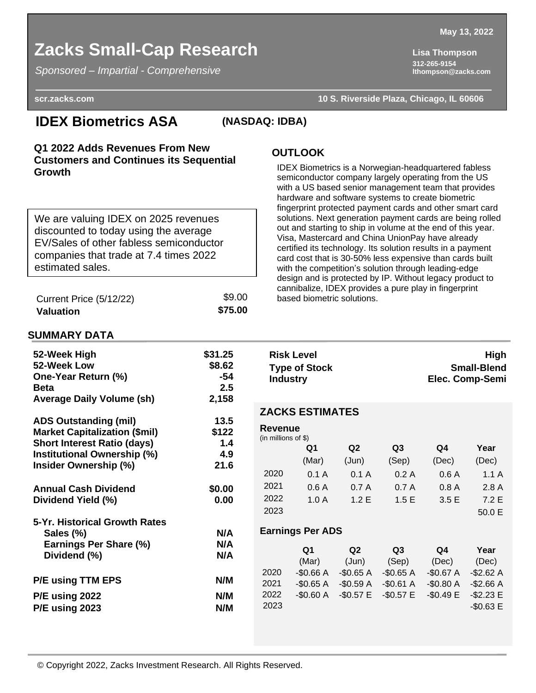# **Zacks Small-Cap Research Lisa Thompson**

*Sponsored – Impartial - Comprehensive*

**312-265-9154 lthompson@zacks.com**

#### *Sponsored – Impartial - Comprehensive*

**scr.zacks.com 10 S. Riverside Plaza, Chicago, IL 60606**

# **IDEX Biometrics ASA (NASDAQ: IDBA)**

### **Q1 2022 Adds Revenues From New Customers and Continues its Sequential Growth**

We are valuing IDEX on 2025 revenues discounted to today using the average EV/Sales of other fabless semiconductor companies that trade at 7.4 times 2022 estimated sales.

| Current Price (5/12/22) | \$9.00  |
|-------------------------|---------|
| Valuation               | \$75.00 |

### **OUTLOOK**

IDEX Biometrics is a Norwegian-headquartered fabless semiconductor company largely operating from the US with a US based senior management team that provides hardware and software systems to create biometric fingerprint protected payment cards and other smart card solutions. Next generation payment cards are being rolled out and starting to ship in volume at the end of this year. Visa, Mastercard and China UnionPay have already certified its technology. Its solution results in a payment card cost that is 30-50% less expensive than cards built with the competition's solution through leading-edge design and is protected by IP. Without legacy product to cannibalize, IDEX provides a pure play in fingerprint based biometric solutions.

### **SUMMARY DATA**

| 52-Week High<br>52-Week Low<br>One-Year Return (%)<br><b>Beta</b><br><b>Average Daily Volume (sh)</b> | \$31.25<br>\$8.62<br>$-54$<br>2.5<br>2,158 | <b>Industry</b>       | <b>Risk Level</b><br><b>Type of Stock</b> |                           |                          |                          | High<br><b>Small-Blend</b><br>Elec. Comp-Semi |
|-------------------------------------------------------------------------------------------------------|--------------------------------------------|-----------------------|-------------------------------------------|---------------------------|--------------------------|--------------------------|-----------------------------------------------|
|                                                                                                       |                                            |                       | <b>ZACKS ESTIMATES</b>                    |                           |                          |                          |                                               |
| <b>ADS Outstanding (mil)</b>                                                                          | 13.5                                       |                       |                                           |                           |                          |                          |                                               |
| <b>Market Capitalization (\$mil)</b>                                                                  | \$122                                      | <b>Revenue</b>        |                                           |                           |                          |                          |                                               |
| <b>Short Interest Ratio (days)</b>                                                                    | 1.4                                        | (in millions of $$$ ) |                                           |                           |                          |                          |                                               |
| Institutional Ownership (%)                                                                           | 4.9                                        |                       | Q1                                        | Q2                        | Q3                       | Q <sub>4</sub>           | Year                                          |
| Insider Ownership (%)                                                                                 | 21.6                                       |                       | (Mar)                                     | (Jun)                     | (Sep)                    | (Dec)                    | (Dec)                                         |
|                                                                                                       |                                            | 2020                  | 0.1A                                      | 0.1A                      | 0.2A                     | 0.6A                     | 1.1A                                          |
| <b>Annual Cash Dividend</b>                                                                           | \$0.00                                     | 2021                  | 0.6A                                      | 0.7A                      | 0.7A                     | 0.8A                     | 2.8A                                          |
| Dividend Yield (%)                                                                                    | 0.00                                       | 2022                  | 1.0A                                      | 1.2E                      | 1.5E                     | 3.5 E                    | 7.2 E                                         |
|                                                                                                       |                                            | 2023                  |                                           |                           |                          |                          | 50.0 E                                        |
| 5-Yr. Historical Growth Rates                                                                         |                                            |                       |                                           |                           |                          |                          |                                               |
| Sales (%)                                                                                             | N/A                                        |                       | <b>Earnings Per ADS</b>                   |                           |                          |                          |                                               |
| Earnings Per Share (%)<br>Dividend (%)                                                                | N/A<br>N/A                                 |                       | Q <sub>1</sub><br>(Mar)                   | Q <sub>2</sub><br>(Jun)   | Q <sub>3</sub><br>(Sep)  | Q4<br>(Dec)              | Year<br>(Dec)                                 |
| <b>P/E using TTM EPS</b>                                                                              | N/M                                        | 2020<br>2021          | $-$0.66A$                                 | -\$0.65 A                 | $-$0.65 A$<br>$-$0.61 A$ | $-$0.67 A$               | $-$2.62 A$<br>$-$2.66 A$                      |
|                                                                                                       | N/M                                        | 2022                  | $-$0.65 A$<br>$-$0.60 A$                  | -\$0.59 A<br>$-$ \$0.57 E | $-$ \$0.57 E             | $-$0.80 A$<br>$-$0.49 E$ | $-$ \$2.23 E                                  |
| <b>P/E using 2022</b>                                                                                 |                                            | 2023                  |                                           |                           |                          |                          | $-$0.63 E$                                    |
| <b>P/E using 2023</b>                                                                                 | N/M                                        |                       |                                           |                           |                          |                          |                                               |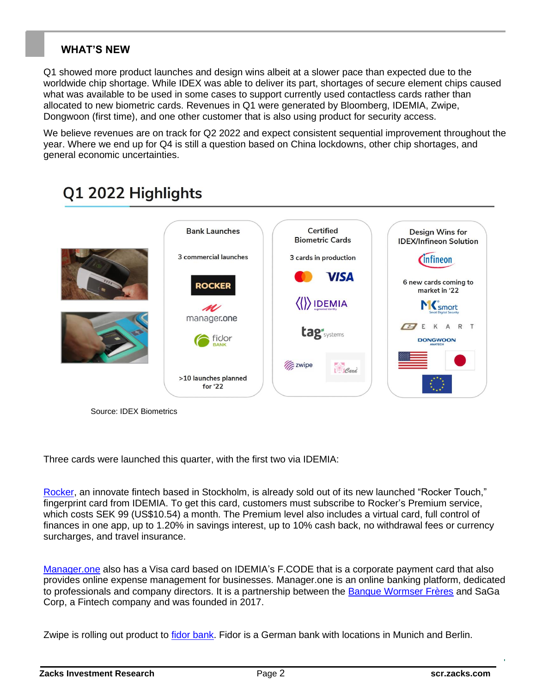## **WHAT'S NEW**

Q1 showed more product launches and design wins albeit at a slower pace than expected due to the worldwide chip shortage. While IDEX was able to deliver its part, shortages of secure element chips caused what was available to be used in some cases to support currently used contactless cards rather than allocated to new biometric cards. Revenues in Q1 were generated by Bloomberg, IDEMIA, Zwipe, Dongwoon (first time), and one other customer that is also using product for security access.

We believe revenues are on track for Q2 2022 and expect consistent sequential improvement throughout the year. Where we end up for Q4 is still a question based on China lockdowns, other chip shortages, and general economic uncertainties.

#### **Bank Launches** Certified Design Wins for **Biometric Cards IDEX/Infineon Solution** 3 commercial launches 3 cards in production *C*infineon **VISA** 6 new cards coming to **ROCKER** market in '22  $\langle\langle\rangle\rangle$ IDEMIA Msmart M manager.one A R T K tag'<sub>systems</sub> ficlor **DONGWOON Zwipe** Card >10 launches planned for '22

# Q1 2022 Highlights

Source: IDEX Biometrics

Three cards were launched this quarter, with the first two via IDEMIA:

[Rocker,](https://rocker.com/) an innovate fintech based in Stockholm, is already sold out of its new launched "Rocker Touch," fingerprint card from IDEMIA. To get this card, customers must subscribe to Rocker's Premium service, which costs SEK 99 (US\$10.54) a month. The Premium level also includes a virtual card, full control of finances in one app, up to 1.20% in savings interest, up to 10% cash back, no withdrawal fees or currency surcharges, and travel insurance.

[Manager.one](https://www.manager.one/fr/) also has a Visa card based on IDEMIA's F.CODE that is a corporate payment card that also provides online expense management for businesses. Manager.one is an online banking platform, dedicated to professionals and company directors. It is a partnership between the [Banque Wormser Frères](http://www.banquewormser.com/en) and SaGa Corp, a Fintech company and was founded in 2017.

Zwipe is rolling out product to *fidor bank*. Fidor is a German bank with locations in Munich and Berlin.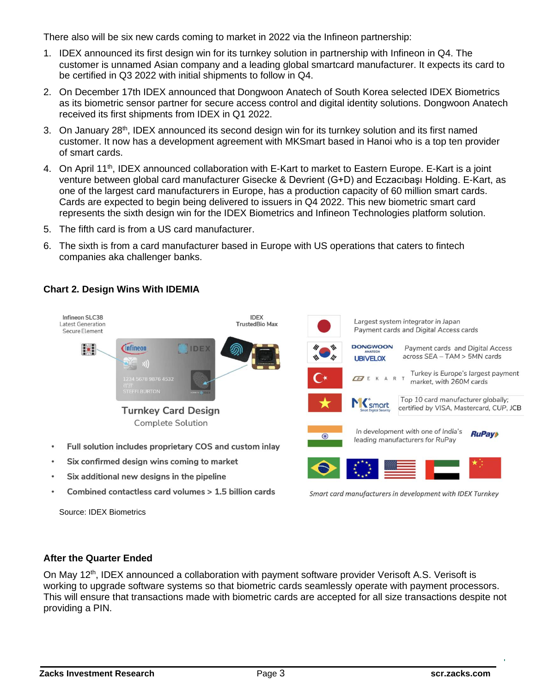There also will be six new cards coming to market in 2022 via the Infineon partnership:

- 1. IDEX announced its first design win for its turnkey solution in partnership with Infineon in Q4. The customer is unnamed Asian company and a leading global smartcard manufacturer. It expects its card to be certified in Q3 2022 with initial shipments to follow in Q4.
- 2. On December 17th IDEX announced that Dongwoon Anatech of South Korea selected IDEX Biometrics as its biometric sensor partner for secure access control and digital identity solutions. Dongwoon Anatech received its first shipments from IDEX in Q1 2022.
- 3. On January 28<sup>th</sup>, IDEX announced its second design win for its turnkey solution and its first named customer. It now has a development agreement with MKSmart based in Hanoi who is a top ten provider of smart cards.
- 4. On April 11<sup>th</sup>, IDEX announced collaboration with E-Kart to market to Eastern Europe. E-Kart is a joint venture between global card manufacturer Gisecke & Devrient (G+D) and Eczacıbaşı Holding. E-Kart, as one of the largest card manufacturers in Europe, has a production capacity of 60 million smart cards. Cards are expected to begin being delivered to issuers in Q4 2022. This new biometric smart card represents the sixth design win for the IDEX Biometrics and Infineon Technologies platform solution.
- 5. The fifth card is from a US card manufacturer.
- 6. The sixth is from a card manufacturer based in Europe with US operations that caters to fintech companies aka challenger banks.

## **Chart 2. Design Wins With IDEMIA**



Source: IDEX Biometrics

#### **After the Quarter Ended**

On May 12<sup>th</sup>, IDEX announced a collaboration with payment software provider Verisoft A.S. Verisoft is working to upgrade software systems so that biometric cards seamlessly operate with payment processors. This will ensure that transactions made with biometric cards are accepted for all size transactions despite not providing a PIN.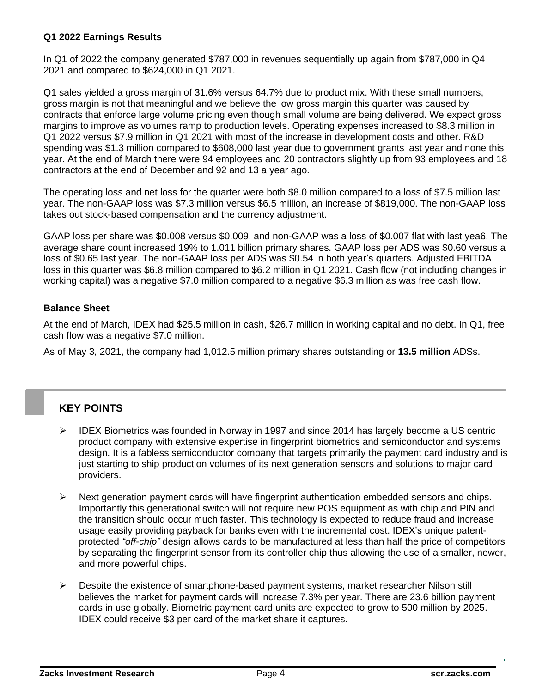### **Q1 2022 Earnings Results**

In Q1 of 2022 the company generated \$787,000 in revenues sequentially up again from \$787,000 in Q4 2021 and compared to \$624,000 in Q1 2021.

Q1 sales yielded a gross margin of 31.6% versus 64.7% due to product mix. With these small numbers, gross margin is not that meaningful and we believe the low gross margin this quarter was caused by contracts that enforce large volume pricing even though small volume are being delivered. We expect gross margins to improve as volumes ramp to production levels. Operating expenses increased to \$8.3 million in Q1 2022 versus \$7.9 million in Q1 2021 with most of the increase in development costs and other. R&D spending was \$1.3 million compared to \$608,000 last year due to government grants last year and none this year. At the end of March there were 94 employees and 20 contractors slightly up from 93 employees and 18 contractors at the end of December and 92 and 13 a year ago.

The operating loss and net loss for the quarter were both \$8.0 million compared to a loss of \$7.5 million last year. The non-GAAP loss was \$7.3 million versus \$6.5 million, an increase of \$819,000. The non-GAAP loss takes out stock-based compensation and the currency adjustment.

GAAP loss per share was \$0.008 versus \$0.009, and non-GAAP was a loss of \$0.007 flat with last yea6. The average share count increased 19% to 1.011 billion primary shares. GAAP loss per ADS was \$0.60 versus a loss of \$0.65 last year. The non-GAAP loss per ADS was \$0.54 in both year's quarters. Adjusted EBITDA loss in this quarter was \$6.8 million compared to \$6.2 million in Q1 2021. Cash flow (not including changes in working capital) was a negative \$7.0 million compared to a negative \$6.3 million as was free cash flow.

### **Balance Sheet**

At the end of March, IDEX had \$25.5 million in cash, \$26.7 million in working capital and no debt. In Q1, free cash flow was a negative \$7.0 million.

As of May 3, 2021, the company had 1,012.5 million primary shares outstanding or **13.5 million** ADSs.

## **KEY POINTS**

- ➢ IDEX Biometrics was founded in Norway in 1997 and since 2014 has largely become a US centric product company with extensive expertise in fingerprint biometrics and semiconductor and systems design. It is a fabless semiconductor company that targets primarily the payment card industry and is just starting to ship production volumes of its next generation sensors and solutions to major card providers.
- $\triangleright$  Next generation payment cards will have fingerprint authentication embedded sensors and chips. Importantly this generational switch will not require new POS equipment as with chip and PIN and the transition should occur much faster. This technology is expected to reduce fraud and increase usage easily providing payback for banks even with the incremental cost. IDEX's unique patentprotected *"off-chip"* design allows cards to be manufactured at less than half the price of competitors by separating the fingerprint sensor from its controller chip thus allowing the use of a smaller, newer, and more powerful chips.
- ➢ Despite the existence of smartphone-based payment systems, market researcher Nilson still believes the market for payment cards will increase 7.3% per year. There are 23.6 billion payment cards in use globally. Biometric payment card units are expected to grow to 500 million by 2025. IDEX could receive \$3 per card of the market share it captures.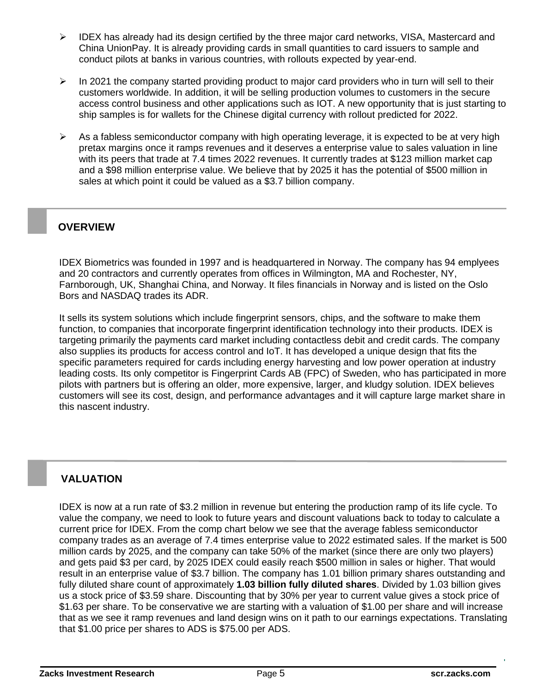- ➢ IDEX has already had its design certified by the three major card networks, VISA, Mastercard and China UnionPay. It is already providing cards in small quantities to card issuers to sample and conduct pilots at banks in various countries, with rollouts expected by year-end.
- ➢ In 2021 the company started providing product to major card providers who in turn will sell to their customers worldwide. In addition, it will be selling production volumes to customers in the secure access control business and other applications such as IOT. A new opportunity that is just starting to ship samples is for wallets for the Chinese digital currency with rollout predicted for 2022.
- $\triangleright$  As a fabless semiconductor company with high operating leverage, it is expected to be at very high pretax margins once it ramps revenues and it deserves a enterprise value to sales valuation in line with its peers that trade at 7.4 times 2022 revenues. It currently trades at \$123 million market cap and a \$98 million enterprise value. We believe that by 2025 it has the potential of \$500 million in sales at which point it could be valued as a \$3.7 billion company.

### **OVERVIEW**

IDEX Biometrics was founded in 1997 and is headquartered in Norway. The company has 94 emplyees and 20 contractors and currently operates from offices in Wilmington, MA and Rochester, NY, Farnborough, UK, Shanghai China, and Norway. It files financials in Norway and is listed on the Oslo Bors and NASDAQ trades its ADR.

It sells its system solutions which include fingerprint sensors, chips, and the software to make them function, to companies that incorporate fingerprint identification technology into their products. IDEX is targeting primarily the payments card market including contactless debit and credit cards. The company also supplies its products for access control and IoT. It has developed a unique design that fits the specific parameters required for cards including energy harvesting and low power operation at industry leading costs. Its only competitor is Fingerprint Cards AB (FPC) of Sweden, who has participated in more pilots with partners but is offering an older, more expensive, larger, and kludgy solution. IDEX believes customers will see its cost, design, and performance advantages and it will capture large market share in this nascent industry.

# **VALUATION**

IDEX is now at a run rate of \$3.2 million in revenue but entering the production ramp of its life cycle. To value the company, we need to look to future years and discount valuations back to today to calculate a current price for IDEX. From the comp chart below we see that the average fabless semiconductor company trades as an average of 7.4 times enterprise value to 2022 estimated sales. If the market is 500 million cards by 2025, and the company can take 50% of the market (since there are only two players) and gets paid \$3 per card, by 2025 IDEX could easily reach \$500 million in sales or higher. That would result in an enterprise value of \$3.7 billion. The company has 1.01 billion primary shares outstanding and fully diluted share count of approximately **1.03 billion fully diluted shares**. Divided by 1.03 billion gives us a stock price of \$3.59 share. Discounting that by 30% per year to current value gives a stock price of \$1.63 per share. To be conservative we are starting with a valuation of \$1.00 per share and will increase that as we see it ramp revenues and land design wins on it path to our earnings expectations. Translating that \$1.00 price per shares to ADS is \$75.00 per ADS.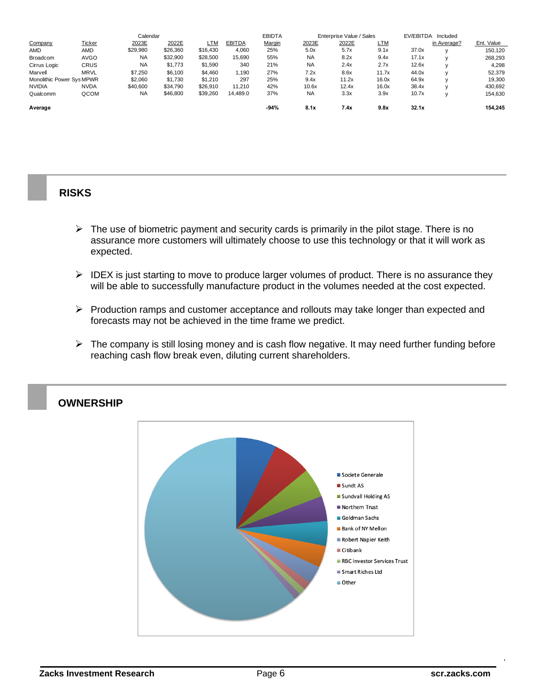| Calendar                  |               |           |          |          |               | <b>EBIDTA</b><br>Enterprise Value / Sales |           |       |            | EV/EBITDA | Included    |            |
|---------------------------|---------------|-----------|----------|----------|---------------|-------------------------------------------|-----------|-------|------------|-----------|-------------|------------|
| Company                   | <b>Ticker</b> | 2023E     | 2022E    | LTM      | <b>EBITDA</b> | Margin                                    | 2023E     | 2022E | <u>LTM</u> |           | in Average? | Ent. Value |
| AMD                       | AMD           | \$29,980  | \$26,360 | \$16,430 | 4.060         | 25%                                       | 5.0x      | 5.7x  | 9.1x       | 37.0x     |             | 150.120    |
| Broadcom                  | <b>AVGO</b>   | <b>NA</b> | \$32,900 | \$28,500 | 15.690        | 55%                                       | <b>NA</b> | 8.2x  | 9.4x       | 17.1x     |             | 268,293    |
| Cirrus Logic              | <b>CRUS</b>   | <b>NA</b> | \$1,773  | \$1,590  | 340           | 21%                                       | <b>NA</b> | 2.4x  | 2.7x       | 12.6x     |             | 4,298      |
| Marvell                   | <b>MRVL</b>   | \$7.250   | \$6.100  | \$4,460  | 1,190         | 27%                                       | 7.2x      | 8.6x  | 11.7x      | 44.0x     |             | 52,379     |
| Monolithic Power Sys MPWR |               | \$2,060   | \$1,730  | \$1,210  | 297           | 25%                                       | 9.4x      | 11.2x | 16.0x      | 64.9x     |             | 19,300     |
| <b>NVIDIA</b>             | <b>NVDA</b>   | \$40,600  | \$34.790 | \$26,910 | 11.210        | 42%                                       | 10.6x     | 12.4x | 16.0x      | 38.4x     |             | 430,692    |
| Qualcomm                  | QCOM          | <b>NA</b> | \$46,800 | \$39,260 | 14,489.0      | 37%                                       | <b>NA</b> | 3.3x  | 3.9x       | 10.7x     |             | 154,630    |
| Average                   |               |           |          |          |               | $-94%$                                    | 8.1x      | 7.4x  | 9.8x       | 32.1x     |             | 154.245    |

## **RISKS**

- $\triangleright$  The use of biometric payment and security cards is primarily in the pilot stage. There is no assurance more customers will ultimately choose to use this technology or that it will work as expected.
- $\triangleright$  IDEX is just starting to move to produce larger volumes of product. There is no assurance they will be able to successfully manufacture product in the volumes needed at the cost expected.
- ➢ Production ramps and customer acceptance and rollouts may take longer than expected and forecasts may not be achieved in the time frame we predict.
- ➢ The company is still losing money and is cash flow negative. It may need further funding before reaching cash flow break even, diluting current shareholders.



## **OWNERSHIP**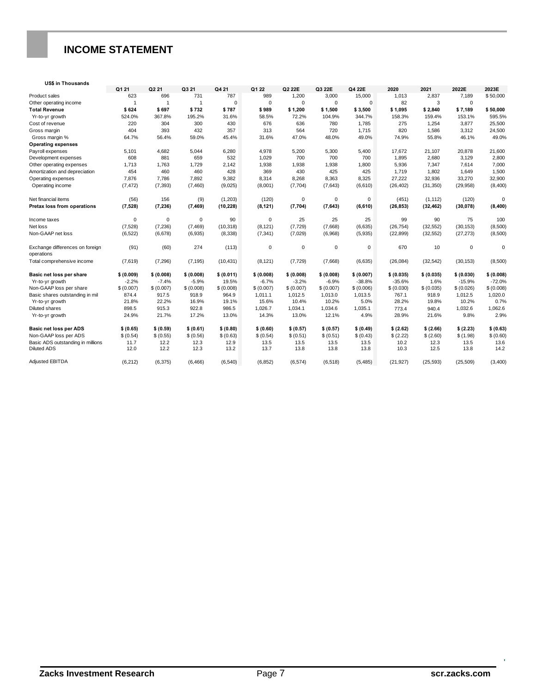# **INCOME STATEMENT**

#### **US\$ in Thousands**

|                                               | Q1 21        | Q2 21          | Q3 21       | Q421       | Q1 22       | Q2 22E      | Q3 22E      | Q4 22E      | 2020       | 2021       | 2022E       | 2023E       |
|-----------------------------------------------|--------------|----------------|-------------|------------|-------------|-------------|-------------|-------------|------------|------------|-------------|-------------|
| Product sales                                 | 623          | 696            | 731         | 787        | 989         | 1,200       | 3,000       | 15,000      | 1.013      | 2.837      | 7.189       | \$50,000    |
| Other operating income                        | $\mathbf{1}$ | $\overline{1}$ |             | $\Omega$   | $\mathbf 0$ | $\Omega$    | $\Omega$    | $\Omega$    | 82         | 3          | $\mathbf 0$ |             |
| <b>Total Revenue</b>                          | \$624        | \$697          | \$732       | \$787      | \$989       | \$1,200     | \$1,500     | \$3,500     | \$1,095    | \$2,840    | \$7,189     | \$50,000    |
| Yr-to-yr growth                               | 524.0%       | 367.8%         | 195.2%      | 31.6%      | 58.5%       | 72.2%       | 104.9%      | 344.7%      | 158.3%     | 159.4%     | 153.1%      | 595.5%      |
| Cost of revenue                               | 220          | 304            | 300         | 430        | 676         | 636         | 780         | 1,785       | 275        | 1,254      | 3,877       | 25,500      |
| Gross margin                                  | 404          | 393            | 432         | 357        | 313         | 564         | 720         | 1,715       | 820        | 1,586      | 3,312       | 24,500      |
| Gross margin %                                | 64.7%        | 56.4%          | 59.0%       | 45.4%      | 31.6%       | 47.0%       | 48.0%       | 49.0%       | 74.9%      | 55.8%      | 46.1%       | 49.0%       |
| <b>Operating expenses</b>                     |              |                |             |            |             |             |             |             |            |            |             |             |
| Payroll expenses                              | 5,101        | 4,682          | 5,044       | 6,280      | 4,978       | 5,200       | 5,300       | 5,400       | 17,672     | 21,107     | 20,878      | 21,600      |
| Development expenses                          | 608          | 881            | 659         | 532        | 1,029       | 700         | 700         | 700         | 1.895      | 2,680      | 3,129       | 2,800       |
| Other operating expenses                      | 1,713        | 1,763          | 1,729       | 2,142      | 1,938       | 1,938       | 1,938       | 1,800       | 5,936      | 7,347      | 7,614       | 7,000       |
| Amortization and depreciation                 | 454          | 460            | 460         | 428        | 369         | 430         | 425         | 425         | 1,719      | 1,802      | 1,649       | 1,500       |
| Operating expenses                            | 7,876        | 7,786          | 7,892       | 9,382      | 8,314       | 8,268       | 8,363       | 8,325       | 27,222     | 32,936     | 33,270      | 32,900      |
| Operating income                              | (7, 472)     | (7, 393)       | (7, 460)    | (9,025)    | (8,001)     | (7,704)     | (7,643)     | (6,610)     | (26, 402)  | (31, 350)  | (29, 958)   | (8,400)     |
| Net financial items                           | (56)         | 156            | (9)         | (1,203)    | (120)       | $\mathbf 0$ | $\mathbf 0$ | $\mathbf 0$ | (451)      | (1, 112)   | (120)       | $\Omega$    |
| Pretax loss from operations                   | (7, 528)     | (7, 236)       | (7, 469)    | (10, 228)  | (8, 121)    | (7, 704)    | (7,643)     | (6, 610)    | (26, 853)  | (32, 462)  | (30,078)    | (8, 400)    |
|                                               |              |                |             |            |             |             |             |             |            |            |             |             |
| Income taxes                                  | $\mathbf 0$  | $\mathbf 0$    | $\mathbf 0$ | 90         | 0           | 25          | 25          | 25          | 99         | 90         | 75          | 100         |
| Net loss                                      | (7,528)      | (7, 236)       | (7, 469)    | (10, 318)  | (8, 121)    | (7, 729)    | (7,668)     | (6,635)     | (26, 754)  | (32, 552)  | (30, 153)   | (8,500)     |
| Non-GAAP net loss                             | (6, 522)     | (6,678)        | (6,935)     | (8, 338)   | (7, 341)    | (7,029)     | (6,968)     | (5,935)     | (22, 899)  | (32, 552)  | (27, 273)   | (8,500)     |
| Exchange differences on foreign<br>operations | (91)         | (60)           | 274         | (113)      | $\mathbf 0$ | $\mathbf 0$ | $\mathbf 0$ | $\mathbf 0$ | 670        | 10         | $\mathbf 0$ | $\mathbf 0$ |
| Total comprehensive income                    | (7,619)      | (7, 296)       | (7, 195)    | (10, 431)  | (8, 121)    | (7, 729)    | (7,668)     | (6,635)     | (26,084)   | (32, 542)  | (30, 153)   | (8,500)     |
| Basic net loss per share                      | \$ (0.009)   | \$ (0.008)     | \$ (0.008)  | \$ (0.011) | \$ (0.008)  | \$ (0.008)  | \$ (0.008)  | \$ (0.007)  | \$ (0.035) | \$ (0.035) | \$ (0.030)  | \$(0.008)   |
| Yr-to-yr growth                               | $-2.2%$      | $-7.4%$        | $-5.9%$     | 19.5%      | $-6.7%$     | $-3.2%$     | $-6.9%$     | $-38.8%$    | $-35.6%$   | 1.6%       | $-15.9%$    | $-72.0%$    |
| Non-GAAP loss per share                       | \$ (0.007)   | \$ (0.007)     | \$ (0.008)  | \$ (0.008) | \$ (0.007)  | \$ (0.007)  | \$ (0.007)  | \$ (0.006)  | \$ (0.030) | \$ (0.035) | \$(0.026)   | \$(0.008)   |
| Basic shares outstanding in mil               | 874.4        | 917.5          | 918.9       | 964.9      | 1,011.1     | 1.012.5     | 1,013.0     | 1,013.5     | 767.1      | 918.9      | 1,012.5     | 1,020.0     |
| Yr-to-yr growth                               | 21.8%        | 22.2%          | 16.9%       | 19.1%      | 15.6%       | 10.4%       | 10.2%       | 5.0%        | 28.2%      | 19.8%      | 10.2%       | 0.7%        |
| <b>Diluted shares</b>                         | 898.5        | 915.3          | 922.8       | 986.5      | 1,026.7     | 1,034.1     | 1,034.6     | 1,035.1     | 773.4      | 940.4      | 1,032.6     | 1,062.6     |
| Yr-to-yr growth                               | 24.9%        | 21.7%          | 17.2%       | 13.0%      | 14.3%       | 13.0%       | 12.1%       | 4.9%        | 28.9%      | 21.6%      | 9.8%        | 2.9%        |
| Basic net loss per ADS                        | \$(0.65)     | \$(0.59)       | \$(0.61)    | \$(0.80)   | \$(0.60)    | \$(0.57)    | \$ (0.57)   | \$(0.49)    | \$(2.62)   | \$(2.66)   | \$(2.23)    | \$ (0.63)   |
| Non-GAAP loss per ADS                         | \$(0.54)     | \$ (0.55)      | \$(0.56)    | \$(0.63)   | \$ (0.54)   | \$(0.51)    | \$(0.51)    | \$(0.43)    | \$(2.22)   | \$(2.60)   | \$(1.98)    | \$(0.60)    |
| Basic ADS outstanding in millions             | 11.7         | 12.2           | 12.3        | 12.9       | 13.5        | 13.5        | 13.5        | 13.5        | 10.2       | 12.3       | 13.5        | 13.6        |
| <b>Diluted ADS</b>                            | 12.0         | 12.2           | 12.3        | 13.2       | 13.7        | 13.8        | 13.8        | 13.8        | 10.3       | 12.5       | 13.8        | 14.2        |
| Adjusted EBITDA                               | (6,212)      | (6,375)        | (6, 466)    | (6, 540)   | (6, 852)    | (6, 574)    | (6,518)     | (5, 485)    | (21, 927)  | (25, 593)  | (25, 509)   | (3,400)     |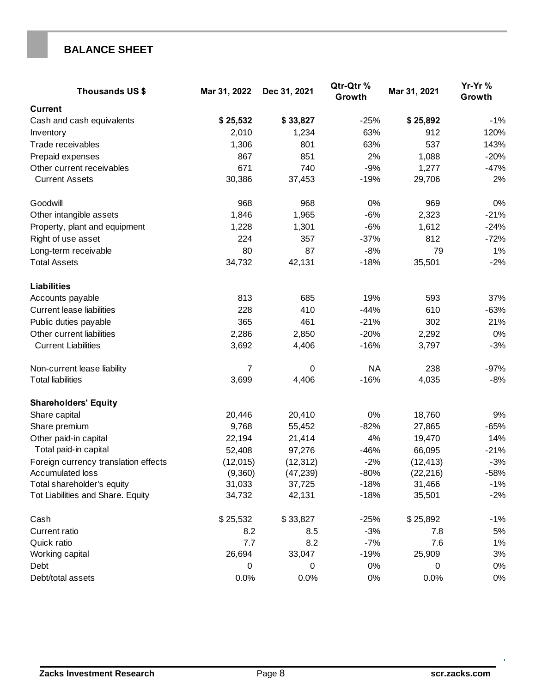# **BALANCE SHEET**

| <b>Thousands US\$</b>                | Mar 31, 2022   | Dec 31, 2021 | Qtr-Qtr%<br>Growth | Mar 31, 2021 | Yr-Yr%<br>Growth |  |
|--------------------------------------|----------------|--------------|--------------------|--------------|------------------|--|
| <b>Current</b>                       |                |              |                    |              |                  |  |
| Cash and cash equivalents            | \$25,532       | \$33,827     | $-25%$             | \$25,892     | $-1%$            |  |
| Inventory                            | 2,010          | 1,234        | 63%                | 912          | 120%             |  |
| Trade receivables                    | 1,306          | 801          | 63%                | 537          | 143%             |  |
| Prepaid expenses                     | 867            | 851          | 2%                 | 1,088        | $-20%$           |  |
| Other current receivables            | 671            | 740          | $-9%$              | 1,277        | $-47%$           |  |
| <b>Current Assets</b>                | 30,386         | 37,453       | $-19%$             | 29,706       | 2%               |  |
| Goodwill                             | 968            | 968          | 0%                 | 969          | 0%               |  |
| Other intangible assets              | 1,846          | 1,965        | $-6%$              | 2,323        | $-21%$           |  |
| Property, plant and equipment        | 1,228          | 1,301        | $-6%$              | 1,612        | $-24%$           |  |
| Right of use asset                   | 224            | 357          | $-37%$             | 812          | $-72%$           |  |
| Long-term receivable                 | 80             | 87           | $-8%$              | 79           | 1%               |  |
| <b>Total Assets</b>                  | 34,732         | 42,131       | $-18%$             | 35,501       | $-2%$            |  |
| <b>Liabilities</b>                   |                |              |                    |              |                  |  |
| Accounts payable                     | 813            | 685          | 19%                | 593          | 37%              |  |
| <b>Current lease liabilities</b>     | 228            | 410          | $-44%$             | 610          | $-63%$           |  |
| Public duties payable                | 365            | 461          | $-21%$             | 302          | 21%              |  |
| Other current liabilities            | 2,286          | 2,850        | $-20%$             | 2,292        | $0\%$            |  |
| <b>Current Liabilities</b>           | 3,692          | 4,406        | $-16%$             | 3,797        | $-3%$            |  |
| Non-current lease liability          | $\overline{7}$ | 0            | <b>NA</b>          | 238          | $-97%$           |  |
| <b>Total liabilities</b>             | 3,699          | 4,406        | $-16%$             | 4,035        | $-8%$            |  |
| <b>Shareholders' Equity</b>          |                |              |                    |              |                  |  |
| Share capital                        | 20,446         | 20,410       | 0%                 | 18,760       | 9%               |  |
| Share premium                        | 9,768          | 55,452       | $-82%$             | 27,865       | $-65%$           |  |
| Other paid-in capital                | 22,194         | 21,414       | 4%                 | 19,470       | 14%              |  |
| Total paid-in capital                | 52,408         | 97,276       | $-46%$             | 66,095       | $-21%$           |  |
| Foreign currency translation effects | (12,015)       | (12, 312)    | $-2%$              | (12, 413)    | $-3%$            |  |
| Accumulated loss                     | (9,360)        | (47, 239)    | $-80%$             | (22, 216)    | -58%             |  |
| Total shareholder's equity           | 31,033         | 37,725       | $-18%$             | 31,466       | $-1\%$           |  |
| Tot Liabilities and Share. Equity    | 34,732         | 42,131       | $-18%$             | 35,501       | $-2%$            |  |
| Cash                                 | \$25,532       | \$33,827     | $-25%$             | \$25,892     | $-1%$            |  |
| Current ratio                        | 8.2            | 8.5          | $-3%$              | 7.8          | 5%               |  |
| Quick ratio                          | 7.7            | 8.2          | $-7%$              | 7.6          | 1%               |  |
| Working capital                      | 26,694         | 33,047       | $-19%$             | 25,909       | 3%               |  |
| Debt                                 | 0              | 0            | 0%                 | 0            | $0\%$            |  |
| Debt/total assets                    | 0.0%           | 0.0%         | $0\%$              | 0.0%         | $0\%$            |  |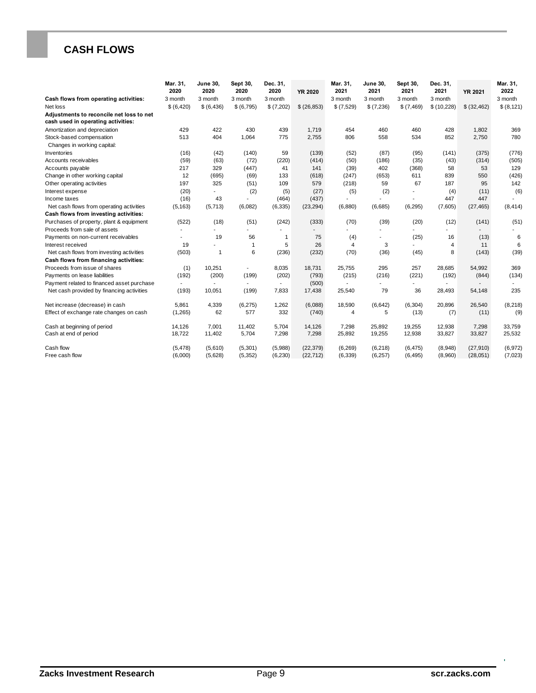# **CASH FLOWS**

|                                                                                   | Mar. 31,<br>2020    | <b>June 30,</b><br>2020 | Sept 30,<br>2020    | Dec. 31,<br>2020    | <b>YR 2020</b>         | Mar. 31,<br>2021     | <b>June 30,</b><br>2021 | Sept 30,<br>2021     | Dec. 31,<br>2021   | <b>YR 2021</b>        | Mar. 31,<br>2022   |
|-----------------------------------------------------------------------------------|---------------------|-------------------------|---------------------|---------------------|------------------------|----------------------|-------------------------|----------------------|--------------------|-----------------------|--------------------|
| Cash flows from operating activities:                                             | 3 month             | 3 month                 | 3 month             | 3 month             |                        | 3 month              | 3 month                 | 3 month              | 3 month            |                       | 3 month            |
| Net loss                                                                          | \$ (6,420)          | \$ (6,436)              | \$ (6,795)          | \$(7,202)           | \$ (26, 853)           | \$ (7,529)           | \$(7,236)               | \$ (7,469)           | \$(10,228)         | \$ (32, 462)          | \$ (8, 121)        |
| Adjustments to reconcile net loss to net<br>cash used in operating activities:    |                     |                         |                     |                     |                        |                      |                         |                      |                    |                       |                    |
| Amortization and depreciation                                                     | 429                 | 422                     | 430                 | 439                 | 1.719                  | 454                  | 460                     | 460                  | 428                | 1.802                 | 369                |
| Stock-based compensation<br>Changes in working capital:                           | 513                 | 404                     | 1.064               | 775                 | 2,755                  | 806                  | 558                     | 534                  | 852                | 2,750                 | 780                |
| Inventories                                                                       | (16)                | (42)                    | (140)               | 59                  | (139)                  | (52)                 | (87)                    | (95)                 | (141)              | (375)                 | (776)              |
| Accounts receivables                                                              | (59)                | (63)                    | (72)                | (220)               | (414)                  | (50)                 | (186)                   | (35)                 | (43)               | (314)                 | (505)              |
| Accounts payable                                                                  | 217                 | 329                     | (447)               | 41                  | 141                    | (39)                 | 402                     | (368)                | 58                 | 53                    | 129                |
| Change in other working capital                                                   | 12                  | (695)                   | (69)                | 133                 | (618)                  | (247)                | (653)                   | 611                  | 839                | 550                   | (426)              |
| Other operating activities                                                        | 197                 | 325                     | (51)                | 109                 | 579                    | (218)                | 59                      | 67                   | 187                | 95                    | 142                |
| Interest expense                                                                  | (20)                |                         | (2)                 | (5)                 | (27)                   | (5)                  | (2)                     |                      | (4)                | (11)                  | (6)                |
| Income taxes                                                                      | (16)                | 43                      |                     | (464)               | (437)                  |                      |                         | ٠                    | 447                | 447                   |                    |
| Net cash flows from operating activities                                          | (5, 163)            | (5,713)                 | (6,082)             | (6, 335)            | (23, 294)              | (6,880)              | (6,685)                 | (6, 295)             | (7,605)            | (27, 465)             | (8, 414)           |
| Cash flows from investing activities:                                             |                     |                         |                     |                     |                        |                      |                         |                      |                    |                       |                    |
| Purchases of property, plant & equipment                                          | (522)               | (18)                    | (51)                | (242)               | (333)                  | (70)                 | (39)                    | (20)                 | (12)               | (141)                 | (51)               |
| Proceeds from sale of assets                                                      |                     |                         |                     |                     |                        |                      |                         |                      |                    |                       |                    |
| Payments on non-current receivables                                               |                     | 19                      | 56                  | -1                  | 75                     | (4)                  | ٠                       | (25)                 | 16                 | (13)                  | 6                  |
| Interest received                                                                 | 19                  |                         | $\mathbf{1}$        | 5                   | 26                     | $\overline{4}$       | 3                       |                      | 4                  | 11                    | 6                  |
| Net cash flows from investing activities<br>Cash flows from financing activities: | (503)               | $\overline{1}$          | 6                   | (236)               | (232)                  | (70)                 | (36)                    | (45)                 | 8                  | (143)                 | (39)               |
| Proceeds from issue of shares                                                     | (1)                 | 10,251                  |                     | 8,035               | 18,731                 | 25,755               | 295                     | 257                  | 28,685             | 54,992                | 369                |
| Payments on lease liabilities<br>Payment related to financed asset purchase       | (192)<br>$\sim$     | (200)                   | (199)               | (202)<br>$\sim$     | (793)<br>(500)         | (215)                | (216)<br>٠              | (221)                | (192)<br>$\sim$    | (844)                 | (134)              |
| Net cash provided by financing activities                                         | (193)               | 10,051                  | (199)               | 7,833               | 17,438                 | 25,540               | 79                      | 36                   | 28,493             | 54,148                | 235                |
| Net increase (decrease) in cash                                                   | 5,861               | 4,339                   | (6,275)             | 1,262               | (6,088)                | 18,590               | (6, 642)                | (6, 304)             | 20,896             | 26,540                | (8, 218)           |
| Effect of exchange rate changes on cash                                           | (1,265)             | 62                      | 577                 | 332                 | (740)                  | 4                    | 5                       | (13)                 | (7)                | (11)                  | (9)                |
| Cash at beginning of period                                                       | 14,126              | 7,001                   | 11,402<br>5,704     | 5,704<br>7,298      | 14,126                 | 7,298<br>25,892      | 25,892                  | 19,255               | 12,938             | 7,298                 | 33,759             |
| Cash at end of period                                                             | 18,722              | 11,402                  |                     |                     | 7,298                  |                      | 19,255                  | 12,938               | 33,827             | 33,827                | 25,532             |
| Cash flow<br>Free cash flow                                                       | (5, 478)<br>(6,000) | (5,610)<br>(5,628)      | (5,301)<br>(5, 352) | (5,988)<br>(6, 230) | (22, 379)<br>(22, 712) | (6, 269)<br>(6, 339) | (6, 218)<br>(6,257)     | (6, 475)<br>(6, 495) | (8,948)<br>(8,960) | (27, 910)<br>(28,051) | (6,972)<br>(7,023) |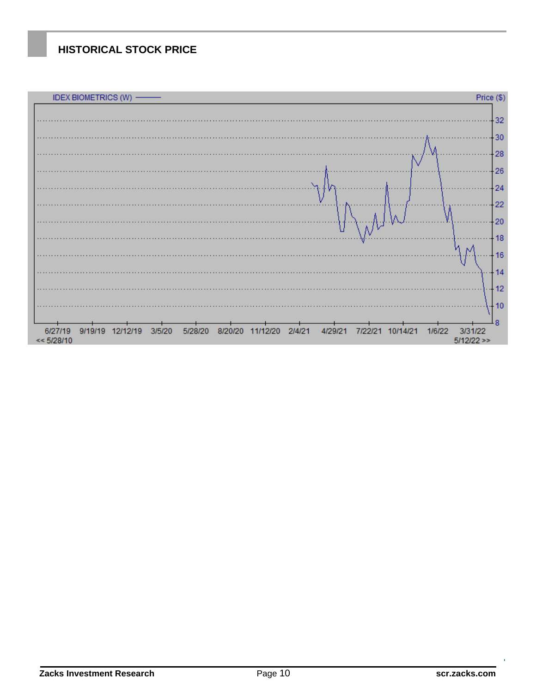# **HISTORICAL STOCK PRICE**